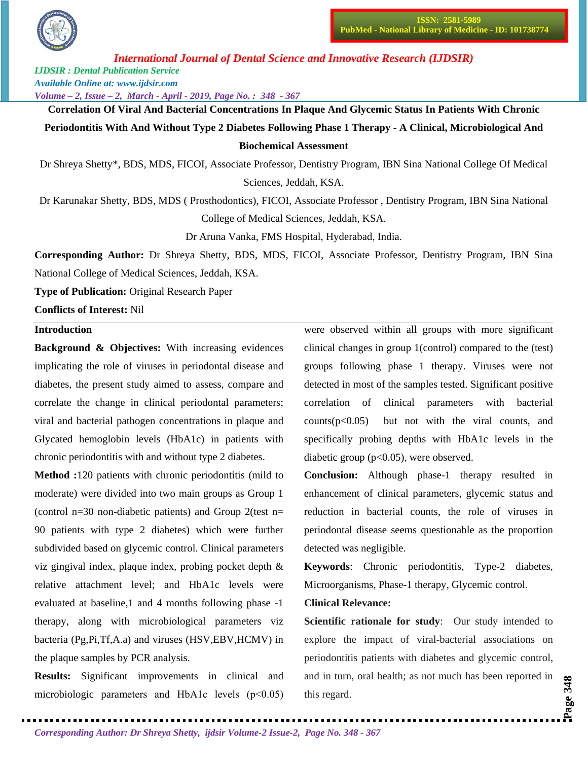

*International Journal of Dental Science and Innovative Research (IJDSIR)*

*IJDSIR : Dental Publication Service Available Online at: www.ijdsir.com*

*Volume – 2, Issue – 2, March - April - 2019, Page No. : 348 - 367*

**Correlation Of Viral And Bacterial Concentrations In Plaque And Glycemic Status In Patients With Chronic Periodontitis With And Without Type 2 Diabetes Following Phase 1 Therapy - A Clinical, Microbiological And Biochemical Assessment**

Dr Shreya Shetty\*, BDS, MDS, FICOI, Associate Professor, Dentistry Program, IBN Sina National College Of Medical Sciences, Jeddah, KSA.

Dr Karunakar Shetty, BDS, MDS ( Prosthodontics), FICOI, Associate Professor , Dentistry Program, IBN Sina National College of Medical Sciences, Jeddah, KSA.

Dr Aruna Vanka, FMS Hospital, Hyderabad, India.

**Corresponding Author:** Dr Shreya Shetty, BDS, MDS, FICOI, Associate Professor, Dentistry Program, IBN Sina National College of Medical Sciences, Jeddah, KSA.

**Type of Publication:** Original Research Paper

**Conflicts of Interest:** Nil

## **Introduction**

**Background & Objectives:** With increasing evidences implicating the role of viruses in periodontal disease and diabetes, the present study aimed to assess, compare and correlate the change in clinical periodontal parameters; viral and bacterial pathogen concentrations in plaque and Glycated hemoglobin levels (HbA1c) in patients with chronic periodontitis with and without type 2 diabetes.

**Method :**120 patients with chronic periodontitis (mild to moderate) were divided into two main groups as Group 1 (control n=30 non-diabetic patients) and Group 2(test n= 90 patients with type 2 diabetes) which were further subdivided based on glycemic control. Clinical parameters viz gingival index, plaque index, probing pocket depth & relative attachment level; and HbA1c levels were evaluated at baseline,1 and 4 months following phase -1 therapy, along with microbiological parameters viz bacteria (Pg,Pi,Tf,A.a) and viruses (HSV,EBV,HCMV) in the plaque samples by PCR analysis.

**Results:** Significant improvements in clinical and microbiologic parameters and HbA1c levels (p˂0.05)

were observed within all groups with more significant clinical changes in group 1(control) compared to the (test) groups following phase 1 therapy. Viruses were not detected in most of the samples tested. Significant positive correlation of clinical parameters with bacterial  $counts(p<0.05)$  but not with the viral counts, and specifically probing depths with HbA1c levels in the diabetic group  $(p<0.05)$ , were observed.

**Conclusion:** Although phase-1 therapy resulted in enhancement of clinical parameters, glycemic status and reduction in bacterial counts, the role of viruses in periodontal disease seems questionable as the proportion detected was negligible.

**Keywords:** Chronic periodontitis, Type-2 diabetes, Microorganisms, Phase-1 therapy, Glycemic control.

### **Clinical Relevance:**

**Scientific rationale for study:** Our study intended to explore the impact of viral-bacterial associations on periodontitis patients with diabetes and glycemic control, and in turn, oral health; as not much has been reported in this regard.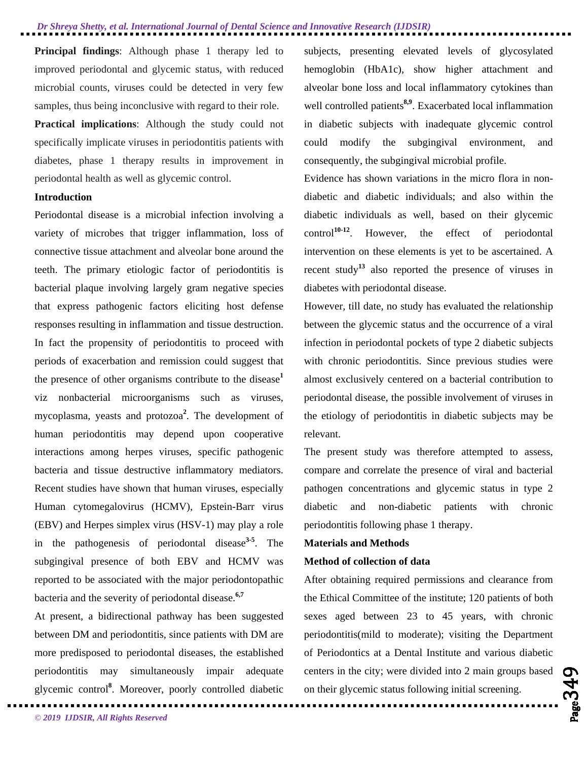**Principal findings:** Although phase 1 therapy led to improved periodontal and glycemic status, with reduced microbial counts, viruses could be detected in very few samples, thus being inconclusive with regard to their role.

**Practical implications**: Although the study could not specifically implicate viruses in periodontitis patients with diabetes, phase 1 therapy results in improvement in periodontal health as well as glycemic control.

## **Introduction**

Periodontal disease is a microbial infection involving a variety of microbes that trigger inflammation, loss of connective tissue attachment and alveolar bone around the teeth. The primary etiologic factor of periodontitis is bacterial plaque involving largely gram negative species that express pathogenic factors eliciting host defense responses resulting in inflammation and tissue destruction. In fact the propensity of periodontitis to proceed with periods of exacerbation and remission could suggest that the presence of other organisms contribute to the disease**<sup>1</sup>** viz nonbacterial microorganisms such as viruses, mycoplasma, yeasts and protozoa**<sup>2</sup>** . The development of human periodontitis may depend upon cooperative interactions among herpes viruses, specific pathogenic bacteria and tissue destructive inflammatory mediators. Recent studies have shown that human viruses, especially Human cytomegalovirus (HCMV), Epstein-Barr virus (EBV) and Herpes simplex virus (HSV-1) may play a role in the pathogenesis of periodontal disease**3-5** . The subgingival presence of both EBV and HCMV was reported to be associated with the major periodontopathic bacteria and the severity of periodontal disease.**6,7**

At present, a bidirectional pathway has been suggested between DM and periodontitis, since patients with DM are more predisposed to periodontal diseases, the established periodontitis may simultaneously impair adequate glycemic control**<sup>8</sup>** . Moreover, poorly controlled diabetic

subjects, presenting elevated levels of glycosylated hemoglobin (HbA1c), show higher attachment and alveolar bone loss and local inflammatory cytokines than well controlled patients<sup>8,9</sup>. Exacerbated local inflammation in diabetic subjects with inadequate glycemic control could modify the subgingival environment, and consequently, the subgingival microbial profile.

Evidence has shown variations in the micro flora in nondiabetic and diabetic individuals; and also within the diabetic individuals as well, based on their glycemic control**10-12**. However, the effect of periodontal intervention on these elements is yet to be ascertained. A recent study**<sup>13</sup>** also reported the presence of viruses in diabetes with periodontal disease.

However, till date, no study has evaluated the relationship between the glycemic status and the occurrence of a viral infection in periodontal pockets of type 2 diabetic subjects with chronic periodontitis. Since previous studies were almost exclusively centered on a bacterial contribution to periodontal disease, the possible involvement of viruses in the etiology of periodontitis in diabetic subjects may be relevant.

The present study was therefore attempted to assess, compare and correlate the presence of viral and bacterial pathogen concentrations and glycemic status in type 2 diabetic and non-diabetic patients with chronic periodontitis following phase 1 therapy.

### **Materials and Methods**

#### **Method of collection of data**

After obtaining required permissions and clearance from the Ethical Committee of the institute; 120 patients of both sexes aged between 23 to 45 years, with chronic periodontitis(mild to moderate); visiting the Department of Periodontics at a Dental Institute and various diabetic centers in the city; were divided into 2 main groups based on their glycemic status following initial screening.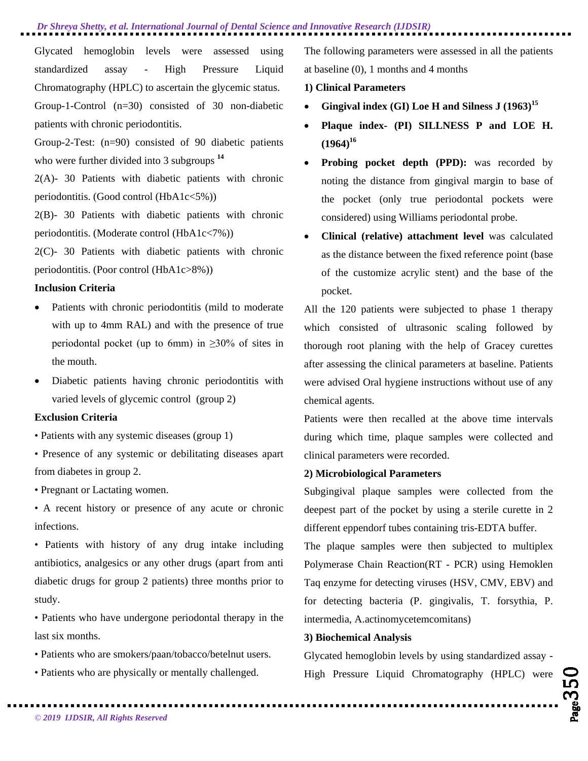Glycated hemoglobin levels were assessed using standardized assay - High Pressure Liquid Chromatography (HPLC) to ascertain the glycemic status. Group-1-Control (n=30) consisted of 30 non-diabetic patients with chronic periodontitis.

Group-2-Test: (n=90) consisted of 90 diabetic patients who were further divided into 3 subgroups **<sup>14</sup>**

2(A)- 30 Patients with diabetic patients with chronic periodontitis. (Good control (HbA1c<5%))

2(B)- 30 Patients with diabetic patients with chronic periodontitis. (Moderate control (HbA1c<7%))

2(C)- 30 Patients with diabetic patients with chronic periodontitis. (Poor control (HbA1c>8%))

## **Inclusion Criteria**

- Patients with chronic periodontitis (mild to moderate with up to 4mm RAL) and with the presence of true periodontal pocket (up to 6mm) in  $\geq$ 30% of sites in the mouth.
- Diabetic patients having chronic periodontitis with varied levels of glycemic control (group 2)

## **Exclusion Criteria**

- Patients with any systemic diseases (group 1)
- Presence of any systemic or debilitating diseases apart from diabetes in group 2.

• Pregnant or Lactating women.

• A recent history or presence of any acute or chronic infections.

• Patients with history of any drug intake including antibiotics, analgesics or any other drugs (apart from anti diabetic drugs for group 2 patients) three months prior to study.

• Patients who have undergone periodontal therapy in the last six months.

- Patients who are smokers/paan/tobacco/betelnut users.
- Patients who are physically or mentally challenged.

The following parameters were assessed in all the patients at baseline (0), 1 months and 4 months

### **1) Clinical Parameters**

- **Gingival index (GI) Loe H and Silness J (1963)15**
- **Plaque index- (PI) SILLNESS P and LOE H.**   $(1964)^{16}$
- **Probing pocket depth (PPD):** was recorded by noting the distance from gingival margin to base of the pocket (only true periodontal pockets were considered) using Williams periodontal probe.
- **Clinical (relative) attachment level** was calculated as the distance between the fixed reference point (base of the customize acrylic stent) and the base of the pocket.

All the 120 patients were subjected to phase 1 therapy which consisted of ultrasonic scaling followed by thorough root planing with the help of Gracey curettes after assessing the clinical parameters at baseline. Patients were advised Oral hygiene instructions without use of any chemical agents.

Patients were then recalled at the above time intervals during which time, plaque samples were collected and clinical parameters were recorded.

#### **2) Microbiological Parameters**

Subgingival plaque samples were collected from the deepest part of the pocket by using a sterile curette in 2 different eppendorf tubes containing tris-EDTA buffer.

The plaque samples were then subjected to multiplex Polymerase Chain Reaction(RT - PCR) using Hemoklen Taq enzyme for detecting viruses (HSV, CMV, EBV) and for detecting bacteria (P. gingivalis, T. forsythia, P. intermedia, A.actinomycetemcomitans)

## **3) Biochemical Analysis**

Glycated hemoglobin levels by using standardized assay - High Pressure Liquid Chromatography (HPLC) were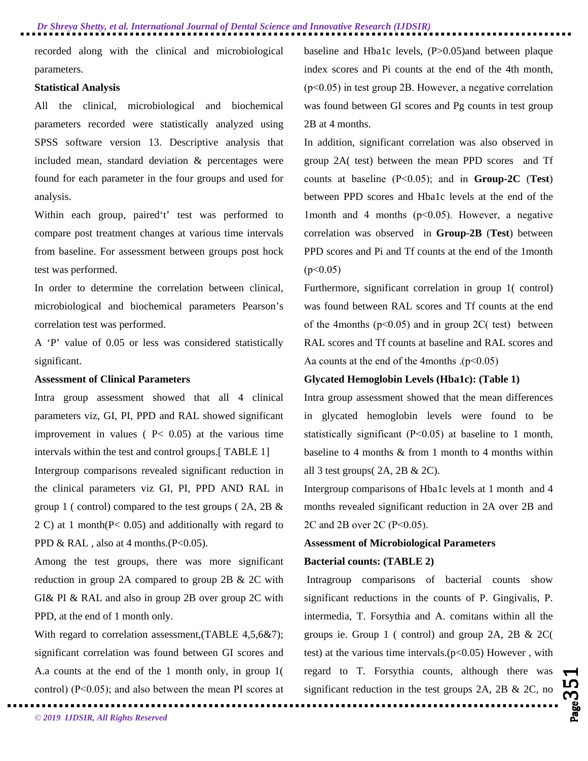recorded along with the clinical and microbiological parameters.

## **Statistical Analysis**

All the clinical, microbiological and biochemical parameters recorded were statistically analyzed using SPSS software version 13. Descriptive analysis that included mean, standard deviation & percentages were found for each parameter in the four groups and used for analysis.

Within each group, paired't' test was performed to compare post treatment changes at various time intervals from baseline. For assessment between groups post hock test was performed.

In order to determine the correlation between clinical, microbiological and biochemical parameters Pearson's correlation test was performed.

A 'P' value of 0.05 or less was considered statistically significant.

#### **Assessment of Clinical Parameters**

Intra group assessment showed that all 4 clinical parameters viz, GI, PI, PPD and RAL showed significant improvement in values ( $P<$  0.05) at the various time intervals within the test and control groups.[ TABLE 1]

Intergroup comparisons revealed significant reduction in the clinical parameters viz GI, PI, PPD AND RAL in group 1 ( control) compared to the test groups ( 2A, 2B & 2 C) at 1 month(P< 0.05) and additionally with regard to PPD & RAL, also at 4 months. $(P<0.05)$ .

Among the test groups, there was more significant reduction in group 2A compared to group 2B & 2C with GI& PI & RAL and also in group 2B over group 2C with PPD, at the end of 1 month only.

With regard to correlation assessment, (TABLE 4,5,6&7); significant correlation was found between GI scores and A.a counts at the end of the 1 month only, in group 1( control) (P˂0.05); and also between the mean PI scores at baseline and Hba1c levels, (P>0.05)and between plaque index scores and Pi counts at the end of the 4th month, (p˂0.05) in test group 2B. However, a negative correlation was found between GI scores and Pg counts in test group 2B at 4 months.

In addition, significant correlation was also observed in group 2A( test) between the mean PPD scores and Tf counts at baseline (P˂0.05); and in **Group-2C** (**Test**) between PPD scores and Hba1c levels at the end of the 1month and 4 months (p˂0.05). However, a negative correlation was observed in **Group-2B** (**Test**) between PPD scores and Pi and Tf counts at the end of the 1month  $(p<0.05)$ 

Furthermore, significant correlation in group 1( control) was found between RAL scores and Tf counts at the end of the 4months ( $p<0.05$ ) and in group 2C( test) between RAL scores and Tf counts at baseline and RAL scores and Aa counts at the end of the 4months .(p˂0.05)

## **Glycated Hemoglobin Levels (Hba1c): (Table 1)**

Intra group assessment showed that the mean differences in glycated hemoglobin levels were found to be statistically significant (P˂0.05) at baseline to 1 month, baseline to 4 months & from 1 month to 4 months within all 3 test groups( 2A, 2B & 2C).

Intergroup comparisons of Hba1c levels at 1 month and 4 months revealed significant reduction in 2A over 2B and 2C and 2B over 2C (P˂0.05).

## **Assessment of Microbiological Parameters**

#### **Bacterial counts: (TABLE 2)**

Intragroup comparisons of bacterial counts show significant reductions in the counts of P. Gingivalis, P. intermedia, T. Forsythia and A. comitans within all the groups ie. Group 1 ( control) and group 2A, 2B & 2C( test) at the various time intervals. $(p<0.05)$  However, with regard to T. Forsythia counts, although there was significant reduction in the test groups  $2A$ ,  $2B \& 2C$ , no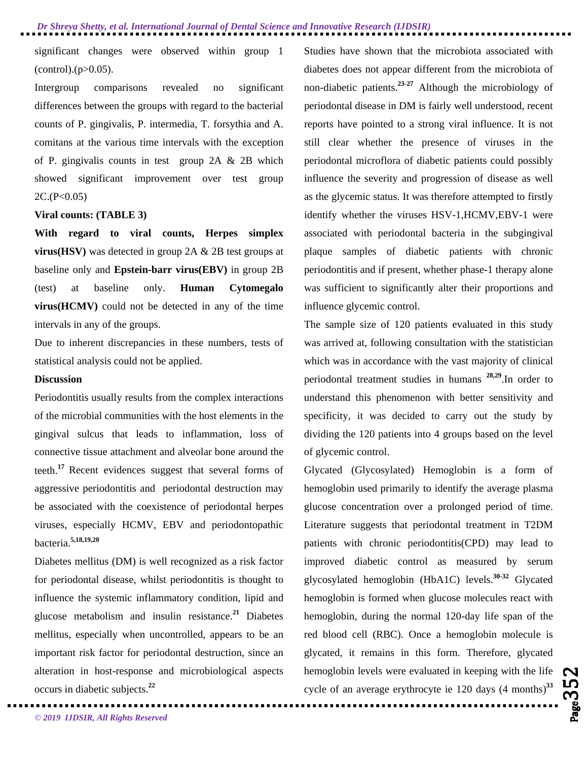significant changes were observed within group 1  $(control)(p>0.05)$ .

Intergroup comparisons revealed no significant differences between the groups with regard to the bacterial counts of P. gingivalis, P. intermedia, T. forsythia and A. comitans at the various time intervals with the exception of P. gingivalis counts in test group 2A & 2B which showed significant improvement over test group  $2C.(P<0.05)$ 

#### **Viral counts: (TABLE 3)**

**With regard to viral counts, Herpes simplex virus(HSV)** was detected in group 2A & 2B test groups at baseline only and **Epstein-barr virus(EBV)** in group 2B (test) at baseline only. **Human Cytomegalo virus(HCMV)** could not be detected in any of the time intervals in any of the groups.

Due to inherent discrepancies in these numbers, tests of statistical analysis could not be applied.

#### **Discussion**

Periodontitis usually results from the complex interactions of the microbial communities with the host elements in the gingival sulcus that leads to inflammation, loss of connective tissue attachment and alveolar bone around the teeth.**<sup>17</sup>**Recent evidences suggest that several forms of aggressive periodontitis and periodontal destruction may be associated with the coexistence of periodontal herpes viruses, especially HCMV, EBV and periodontopathic bacteria.**5,18,19,20** 

Diabetes mellitus (DM) is well recognized as a risk factor for periodontal disease, whilst periodontitis is thought to influence the systemic inflammatory condition, lipid and glucose metabolism and insulin resistance.**<sup>21</sup>** Diabetes mellitus, especially when uncontrolled, appears to be an important risk factor for periodontal destruction, since an alteration in host-response and microbiological aspects occurs in diabetic subjects.**<sup>22</sup>**

Studies have shown that the microbiota associated with diabetes does not appear different from the microbiota of non-diabetic patients.**23-27** Although the microbiology of periodontal disease in DM is fairly well understood, recent reports have pointed to a strong viral influence. It is not still clear whether the presence of viruses in the periodontal microflora of diabetic patients could possibly influence the severity and progression of disease as well as the glycemic status. It was therefore attempted to firstly identify whether the viruses HSV-1,HCMV,EBV-1 were associated with periodontal bacteria in the subgingival plaque samples of diabetic patients with chronic periodontitis and if present, whether phase-1 therapy alone was sufficient to significantly alter their proportions and influence glycemic control.

The sample size of 120 patients evaluated in this study was arrived at, following consultation with the statistician which was in accordance with the vast majority of clinical periodontal treatment studies in humans **28,29**.In order to understand this phenomenon with better sensitivity and specificity, it was decided to carry out the study by dividing the 120 patients into 4 groups based on the level of glycemic control.

Glycated (Glycosylated) Hemoglobin is a form of hemoglobin used primarily to identify the average plasma glucose concentration over a prolonged period of time. Literature suggests that periodontal treatment in T2DM patients with chronic periodontitis(CPD) may lead to improved diabetic control as measured by serum glycosylated hemoglobin (HbA1C) levels.**30-32** Glycated hemoglobin is formed when glucose molecules react with hemoglobin, during the normal 120-day life span of the red blood cell (RBC). Once a hemoglobin molecule is glycated, it remains in this form. Therefore, glycated hemoglobin levels were evaluated in keeping with the life cycle of an average erythrocyte ie 120 days (4 months)**<sup>33</sup>**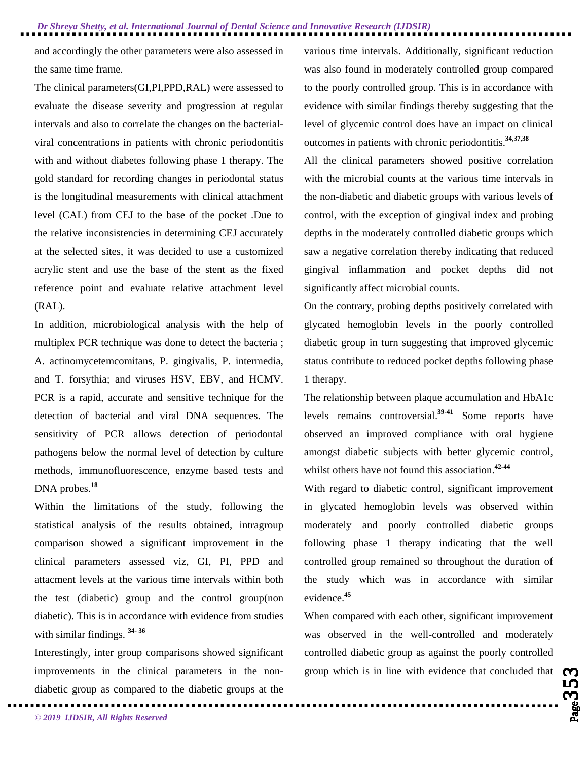and accordingly the other parameters were also assessed in the same time frame.

The clinical parameters(GI,PI,PPD,RAL) were assessed to evaluate the disease severity and progression at regular intervals and also to correlate the changes on the bacterialviral concentrations in patients with chronic periodontitis with and without diabetes following phase 1 therapy. The gold standard for recording changes in periodontal status is the longitudinal measurements with clinical attachment level (CAL) from CEJ to the base of the pocket .Due to the relative inconsistencies in determining CEJ accurately at the selected sites, it was decided to use a customized acrylic stent and use the base of the stent as the fixed reference point and evaluate relative attachment level (RAL).

In addition, microbiological analysis with the help of multiplex PCR technique was done to detect the bacteria ; A. actinomycetemcomitans, P. gingivalis, P. intermedia, and T. forsythia; and viruses HSV, EBV, and HCMV. PCR is a rapid, accurate and sensitive technique for the detection of bacterial and viral DNA sequences. The sensitivity of PCR allows detection of periodontal pathogens below the normal level of detection by culture methods, immunofluorescence, enzyme based tests and DNA probes.**<sup>18</sup>**

Within the limitations of the study, following the statistical analysis of the results obtained, intragroup comparison showed a significant improvement in the clinical parameters assessed viz, GI, PI, PPD and attacment levels at the various time intervals within both the test (diabetic) group and the control group(non diabetic). This is in accordance with evidence from studies with similar findings. **34- <sup>36</sup>**

Interestingly, inter group comparisons showed significant improvements in the clinical parameters in the nondiabetic group as compared to the diabetic groups at the various time intervals. Additionally, significant reduction was also found in moderately controlled group compared to the poorly controlled group. This is in accordance with evidence with similar findings thereby suggesting that the level of glycemic control does have an impact on clinical outcomes in patients with chronic periodontitis.**34,37,38** 

All the clinical parameters showed positive correlation with the microbial counts at the various time intervals in the non-diabetic and diabetic groups with various levels of control, with the exception of gingival index and probing depths in the moderately controlled diabetic groups which saw a negative correlation thereby indicating that reduced gingival inflammation and pocket depths did not significantly affect microbial counts.

On the contrary, probing depths positively correlated with glycated hemoglobin levels in the poorly controlled diabetic group in turn suggesting that improved glycemic status contribute to reduced pocket depths following phase 1 therapy.

The relationship between plaque accumulation and HbA1c levels remains controversial.**39-41** Some reports have observed an improved compliance with oral hygiene amongst diabetic subjects with better glycemic control, whilst others have not found this association.**42-44**

With regard to diabetic control, significant improvement in glycated hemoglobin levels was observed within moderately and poorly controlled diabetic groups following phase 1 therapy indicating that the well controlled group remained so throughout the duration of the study which was in accordance with similar evidence.**<sup>45</sup>**

group which is in line with evidence that concluded that  $\mathbb{C}$ When compared with each other, significant improvement was observed in the well-controlled and moderately controlled diabetic group as against the poorly controlled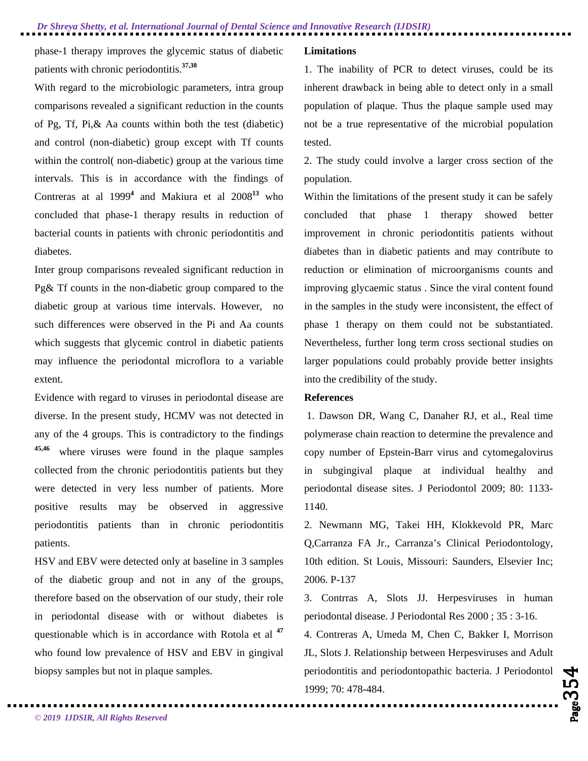phase-1 therapy improves the glycemic status of diabetic patients with chronic periodontitis.**37,38**

With regard to the microbiologic parameters, intra group comparisons revealed a significant reduction in the counts of Pg, Tf, Pi,& Aa counts within both the test (diabetic) and control (non-diabetic) group except with Tf counts within the control( non-diabetic) group at the various time intervals. This is in accordance with the findings of Contreras at al 1999**<sup>4</sup>** and Makiura et al 2008**<sup>13</sup>** who concluded that phase-1 therapy results in reduction of bacterial counts in patients with chronic periodontitis and diabetes.

Inter group comparisons revealed significant reduction in Pg& Tf counts in the non-diabetic group compared to the diabetic group at various time intervals. However, no such differences were observed in the Pi and Aa counts which suggests that glycemic control in diabetic patients may influence the periodontal microflora to a variable extent.

Evidence with regard to viruses in periodontal disease are diverse. In the present study, HCMV was not detected in any of the 4 groups. This is contradictory to the findings **45,46** where viruses were found in the plaque samples collected from the chronic periodontitis patients but they were detected in very less number of patients. More positive results may be observed in aggressive periodontitis patients than in chronic periodontitis patients.

HSV and EBV were detected only at baseline in 3 samples of the diabetic group and not in any of the groups, therefore based on the observation of our study, their role in periodontal disease with or without diabetes is questionable which is in accordance with Rotola et al **<sup>47</sup>** who found low prevalence of HSV and EBV in gingival biopsy samples but not in plaque samples.

### **Limitations**

1. The inability of PCR to detect viruses, could be its inherent drawback in being able to detect only in a small population of plaque. Thus the plaque sample used may not be a true representative of the microbial population tested.

2. The study could involve a larger cross section of the population.

Within the limitations of the present study it can be safely concluded that phase 1 therapy showed better improvement in chronic periodontitis patients without diabetes than in diabetic patients and may contribute to reduction or elimination of microorganisms counts and improving glycaemic status . Since the viral content found in the samples in the study were inconsistent, the effect of phase 1 therapy on them could not be substantiated. Nevertheless, further long term cross sectional studies on larger populations could probably provide better insights into the credibility of the study.

#### **References**

1. Dawson DR, Wang C, Danaher RJ, et al., Real time polymerase chain reaction to determine the prevalence and copy number of Epstein-Barr virus and cytomegalovirus in subgingival plaque at individual healthy and periodontal disease sites. J Periodontol 2009; 80: 1133- 1140.

2. Newmann MG, Takei HH, Klokkevold PR, Marc Q,Carranza FA Jr., Carranza's Clinical Periodontology, 10th edition. St Louis, Missouri: Saunders, Elsevier Inc; 2006. P-137

3. Contrras A, Slots JJ. Herpesviruses in human periodontal disease. J Periodontal Res 2000 ; 35 : 3-16. 4. Contreras A, Umeda M, Chen C, Bakker I, Morrison JL, Slots J. Relationship between Herpesviruses and Adult periodontitis and periodontopathic bacteria. J Periodontol 1999; 70: 478-484.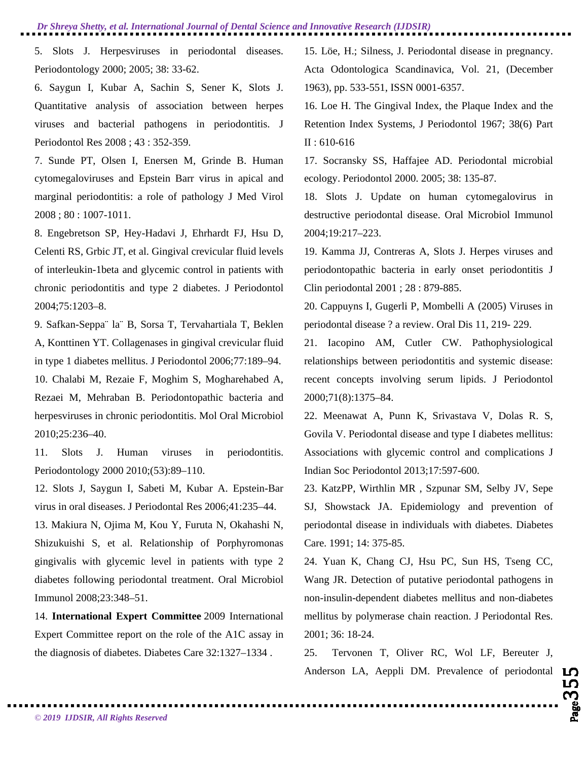5. Slots J. Herpesviruses in periodontal diseases. Periodontology 2000; 2005; 38: 33-62.

6. Saygun I, Kubar A, Sachin S, Sener K, Slots J. Quantitative analysis of association between herpes viruses and bacterial pathogens in periodontitis. J Periodontol Res 2008 ; 43 : 352-359.

7. Sunde PT, Olsen I, Enersen M, Grinde B. Human cytomegaloviruses and Epstein Barr virus in apical and marginal periodontitis: a role of pathology J Med Virol 2008 ; 80 : 1007-1011.

8. Engebretson SP, Hey-Hadavi J, Ehrhardt FJ, Hsu D, Celenti RS, Grbic JT, et al. Gingival crevicular fluid levels of interleukin-1beta and glycemic control in patients with chronic periodontitis and type 2 diabetes. J Periodontol 2004;75:1203–8.

9. Safkan-Seppa¨ la¨ B, Sorsa T, Tervahartiala T, Beklen A, Konttinen YT. Collagenases in gingival crevicular fluid in type 1 diabetes mellitus. J Periodontol 2006;77:189–94. 10. Chalabi M, Rezaie F, Moghim S, Mogharehabed A, Rezaei M, Mehraban B. Periodontopathic bacteria and herpesviruses in chronic periodontitis. Mol Oral Microbiol 2010;25:236–40.

11. Slots J. Human viruses in periodontitis. Periodontology 2000 2010;(53):89–110.

12. Slots J, Saygun I, Sabeti M, Kubar A. Epstein-Bar virus in oral diseases. J Periodontal Res 2006;41:235–44.

13. Makiura N, Ojima M, Kou Y, Furuta N, Okahashi N, Shizukuishi S, et al. Relationship of Porphyromonas gingivalis with glycemic level in patients with type 2 diabetes following periodontal treatment. Oral Microbiol Immunol 2008;23:348–51.

14. **International Expert Committee** 2009 International Expert Committee report on the role of the A1C assay in the diagnosis of diabetes. Diabetes Care 32:1327–1334 .

15. Löe, H.; Silness, J. Periodontal disease in pregnancy. Acta Odontologica Scandinavica, Vol. 21, (December 1963), pp. 533-551, ISSN 0001-6357.

16. Loe H. The Gingival Index, the Plaque Index and the Retention Index Systems, J Periodontol 1967; 38(6) Part II : 610-616

17. Socransky SS, Haffajee AD. Periodontal microbial ecology. Periodontol 2000. 2005; 38: 135-87.

18. Slots J. Update on human cytomegalovirus in destructive periodontal disease. Oral Microbiol Immunol 2004;19:217–223.

19. Kamma JJ, Contreras A, Slots J. Herpes viruses and periodontopathic bacteria in early onset periodontitis J Clin periodontal 2001 ; 28 : 879-885.

20. Cappuyns I, Gugerli P, Mombelli A (2005) Viruses in periodontal disease ? a review. Oral Dis 11, 219- 229.

21. Iacopino AM, Cutler CW. Pathophysiological relationships between periodontitis and systemic disease: recent concepts involving serum lipids. J Periodontol 2000;71(8):1375–84.

22. Meenawat A, Punn K, Srivastava V, Dolas R. S, Govila V. Periodontal disease and type I diabetes mellitus: Associations with glycemic control and complications J Indian Soc Periodontol 2013;17:597-600.

23. KatzPP, Wirthlin MR , Szpunar SM, Selby JV, Sepe SJ, Showstack JA. Epidemiology and prevention of periodontal disease in individuals with diabetes. Diabetes Care. 1991; 14: 375-85.

24. Yuan K, Chang CJ, Hsu PC, Sun HS, Tseng CC, Wang JR. Detection of putative periodontal pathogens in non-insulin-dependent diabetes mellitus and non-diabetes mellitus by polymerase chain reaction. J Periodontal Res. 2001; 36: 18-24.

Anderson LA, Aeppli DM. Prevalence of periodontal LO<br>
PO<br>
PO COMPARE THE COMPANY OF COMPANY OF COMPANY OF COMPANY OF COMPANY OF COMPANY OF COMPANY OF COMPANY OF COMPANY OF COMPANY OF COMPANY OF COMPANY OF COMPANY OF COMPAN 25. Tervonen T, Oliver RC, Wol LF, Bereuter J,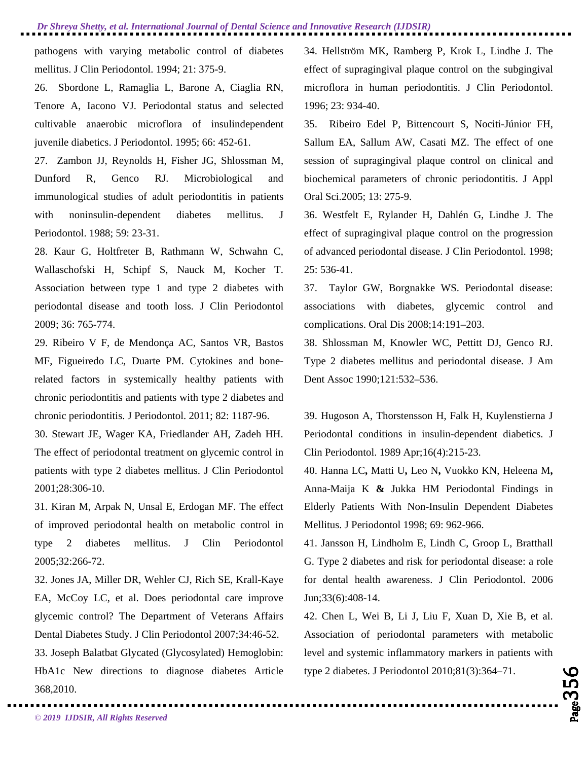pathogens with varying metabolic control of diabetes mellitus. J Clin Periodontol. 1994; 21: 375-9.

26. Sbordone L, Ramaglia L, Barone A, Ciaglia RN, Tenore A, Iacono VJ. Periodontal status and selected cultivable anaerobic microflora of insulindependent juvenile diabetics. J Periodontol. 1995; 66: 452-61.

27. Zambon JJ, Reynolds H, Fisher JG, Shlossman M, Dunford R, Genco RJ. Microbiological and immunological studies of adult periodontitis in patients with noninsulin-dependent diabetes mellitus. J Periodontol. 1988; 59: 23-31.

28. Kaur G, Holtfreter B, Rathmann W, Schwahn C, Wallaschofski H, Schipf S, Nauck M, Kocher T. Association between type 1 and type 2 diabetes with periodontal disease and tooth loss. J Clin Periodontol 2009; 36: 765-774.

29. Ribeiro V F, de Mendonça AC, Santos VR, Bastos MF, Figueiredo LC, Duarte PM. Cytokines and bonerelated factors in systemically healthy patients with chronic periodontitis and patients with type 2 diabetes and chronic periodontitis. J Periodontol. 2011; 82: 1187-96.

30. Stewart JE, Wager KA, Friedlander AH, Zadeh HH. The effect of periodontal treatment on glycemic control in patients with type 2 diabetes mellitus. J Clin Periodontol 2001;28:306-10.

31. Kiran M, Arpak N, Unsal E, Erdogan MF. The effect of improved periodontal health on metabolic control in type 2 diabetes mellitus. J Clin Periodontol 2005;32:266-72.

32. Jones JA, Miller DR, Wehler CJ, Rich SE, Krall-Kaye EA, McCoy LC, et al. Does periodontal care improve glycemic control? The Department of Veterans Affairs Dental Diabetes Study. J Clin Periodontol 2007;34:46-52.

33. Joseph Balatbat Glycated (Glycosylated) Hemoglobin: HbA1c New directions to diagnose diabetes Article 368,2010.

34. Hellström MK, Ramberg P, Krok L, Lindhe J. The effect of supragingival plaque control on the subgingival microflora in human periodontitis. J Clin Periodontol. 1996; 23: 934-40.

35. Ribeiro Edel P, Bittencourt S, Nociti-Júnior FH, Sallum EA, Sallum AW, Casati MZ. The effect of one session of supragingival plaque control on clinical and biochemical parameters of chronic periodontitis. J Appl Oral Sci.2005; 13: 275-9.

36. Westfelt E, Rylander H, Dahlén G, Lindhe J. The effect of supragingival plaque control on the progression of advanced periodontal disease. J Clin Periodontol. 1998; 25: 536-41.

37. Taylor GW, Borgnakke WS. Periodontal disease: associations with diabetes, glycemic control and complications. Oral Dis 2008;14:191–203.

38. Shlossman M, Knowler WC, Pettitt DJ, Genco RJ. Type 2 diabetes mellitus and periodontal disease. J Am Dent Assoc 1990;121:532–536.

39. Hugoson A, Thorstensson H, Falk H, Kuylenstierna J Periodontal conditions in insulin-dependent diabetics. J Clin Periodontol. 1989 Apr;16(4):215-23.

40. Hanna LC**,** Matti U**,** Leo N**,** Vuokko KN, Heleena M**,**  Anna-Maija K **&** Jukka HM Periodontal Findings in Elderly Patients With Non-Insulin Dependent Diabetes Mellitus. J Periodontol 1998; 69: 962-966.

41. Jansson H, Lindholm E, Lindh C, Groop L, Bratthall G. Type 2 diabetes and risk for periodontal disease: a role for dental health awareness. J Clin Periodontol. 2006 Jun;33(6):408-14.

42. Chen L, Wei B, Li J, Liu F, Xuan D, Xie B, et al. Association of periodontal parameters with metabolic level and systemic inflammatory markers in patients with type 2 diabetes. J Periodontol 2010;81(3):364–71.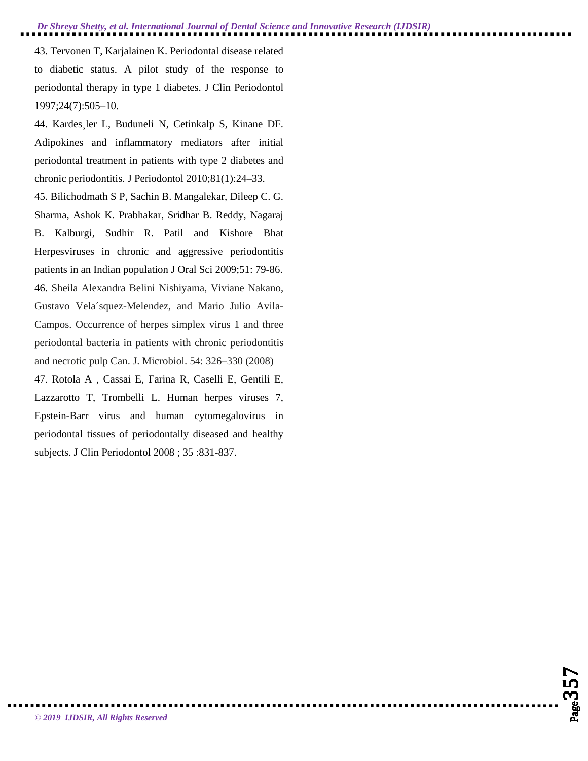43. Tervonen T, Karjalainen K. Periodontal disease related to diabetic status. A pilot study of the response to periodontal therapy in type 1 diabetes. J Clin Periodontol 1997;24(7):505–10.

44. Kardes¸ler L, Buduneli N, Cetinkalp S, Kinane DF. Adipokines and inflammatory mediators after initial periodontal treatment in patients with type 2 diabetes and chronic periodontitis. J Periodontol 2010;81(1):24–33.

45. Bilichodmath S P, Sachin B. Mangalekar, Dileep C. G. Sharma, Ashok K. Prabhakar, Sridhar B. Reddy, Nagaraj B. Kalburgi, Sudhir R. Patil and Kishore Bhat Herpesviruses in chronic and aggressive periodontitis patients in an Indian population J Oral Sci 2009;51: 79-86. 46. Sheila Alexandra Belini Nishiyama, Viviane Nakano, Gustavo Vela´squez-Melendez, and Mario Julio Avila-Campos. Occurrence of herpes simplex virus 1 and three periodontal bacteria in patients with chronic periodontitis and necrotic pulp Can. J. Microbiol. 54: 326–330 (2008)

47. Rotola A , Cassai E, Farina R, Caselli E, Gentili E, Lazzarotto T, Trombelli L. Human herpes viruses 7, Epstein-Barr virus and human cytomegalovirus in periodontal tissues of periodontally diseased and healthy subjects. J Clin Periodontol 2008 ; 35 :831-837.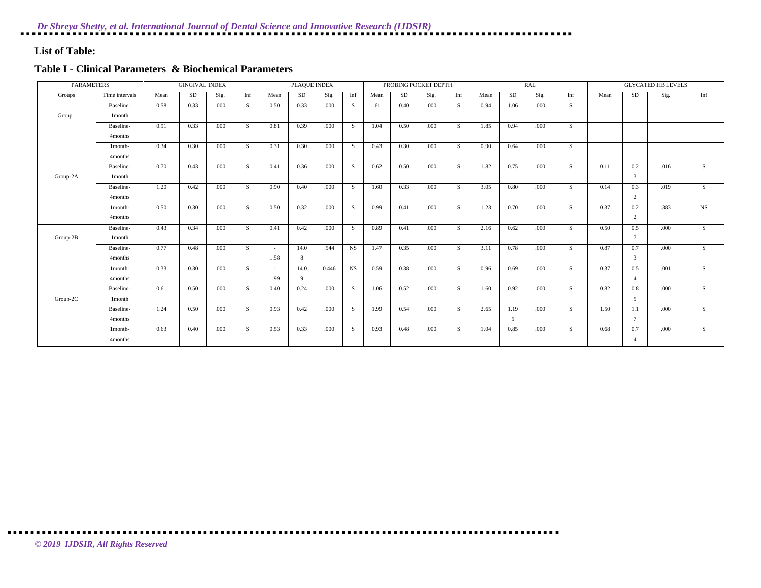## **List of Table:**

## **Table I - Clinical Parameters & Biochemical Parameters**

| <b>PARAMETERS</b> |                |      | <b>GINGIVAL INDEX</b> |      |     |        | PLAQUE INDEX |       |                |      |      | PROBING POCKET DEPTH |              |      |           | <b>RAL</b> |     |      |               | <b>GLYCATED HB LEVELS</b> |     |
|-------------------|----------------|------|-----------------------|------|-----|--------|--------------|-------|----------------|------|------|----------------------|--------------|------|-----------|------------|-----|------|---------------|---------------------------|-----|
| Groups            | Time intervals | Mean | SD                    | Sig. | Inf | Mean   | SD.          | Sig.  | Inf            | Mean | SD   | Sig.                 | Inf          | Mean | <b>SD</b> | Sig.       | Inf | Mean | <b>SD</b>     | Sig.                      | Inf |
|                   | Baseline-      | 0.58 | 0.33                  | .000 | S   | 0.50   | 0.33         | .000  | S.             | .61  | 0.40 | .000                 | S            | 0.94 | 1.06      | .000       | S   |      |               |                           |     |
| Group1            | 1 month        |      |                       |      |     |        |              |       |                |      |      |                      |              |      |           |            |     |      |               |                           |     |
|                   | Baseline-      | 0.91 | 0.33                  | .000 | S   | 0.81   | 0.39         | .000  | <sub>S</sub>   | 1.04 | 0.50 | .000                 | <sub>S</sub> | 1.85 | 0.94      | .000.      | S.  |      |               |                           |     |
|                   | 4months        |      |                       |      |     |        |              |       |                |      |      |                      |              |      |           |            |     |      |               |                           |     |
|                   | 1month-        | 0.34 | 0.30                  | .000 | S   | 0.31   | 0.30         | .000  | <sub>S</sub>   | 0.43 | 0.30 | .000                 | <sub>S</sub> | 0.90 | 0.64      | .000       | S.  |      |               |                           |     |
|                   | 4months        |      |                       |      |     |        |              |       |                |      |      |                      |              |      |           |            |     |      |               |                           |     |
|                   | Baseline-      | 0.70 | 0.43                  | .000 | S.  | 0.41   | 0.36         | .000  | <sub>S</sub>   | 0.62 | 0.50 | .000                 | S            | 1.82 | 0.75      | .000.      | S.  | 0.11 | 0.2           | .016                      | S   |
| Group-2A          | 1 month        |      |                       |      |     |        |              |       |                |      |      |                      |              |      |           |            |     |      | $\mathcal{E}$ |                           |     |
|                   | Baseline-      | 1.20 | 0.42                  | .000 | S   | 0.90   | 0.40         | .000  | -S             | 1.60 | 0.33 | .000                 | -S           | 3.05 | 0.80      | .000       | S.  | 0.14 | 0.3           | .019                      | S.  |
|                   | 4months        |      |                       |      |     |        |              |       |                |      |      |                      |              |      |           |            |     |      | 2             |                           |     |
|                   | 1month-        | 0.50 | 0.30                  | .000 | S   | 0.50   | 0.32         | .000  | <sub>S</sub>   | 0.99 | 0.41 | .000                 | S            | 1.23 | 0.70      | .000       | S.  | 0.37 | 0.2           | .383                      | NS  |
|                   | 4months        |      |                       |      |     |        |              |       |                |      |      |                      |              |      |           |            |     |      | 2             |                           |     |
|                   | Baseline-      | 0.43 | 0.34                  | .000 | S.  | 0.41   | 0.42         | .000  | <sub>S</sub>   | 0.89 | 0.41 | .000                 | S.           | 2.16 | 0.62      | .000       | S.  | 0.50 | 0.5           | .000                      | S   |
| Group-2B          | 1 month        |      |                       |      |     |        |              |       |                |      |      |                      |              |      |           |            |     |      | $\mathcal{I}$ |                           |     |
|                   | Baseline-      | 0.77 | 0.48                  | .000 | S   | $\sim$ | 14.0         | .544  | N <sub>S</sub> | 1.47 | 0.35 | .000                 | S.           | 3.11 | 0.78      | .000       | S.  | 0.87 | 0.7           | .000                      | S.  |
|                   | 4months        |      |                       |      |     | 1.58   | 8            |       |                |      |      |                      |              |      |           |            |     |      | $\mathcal{E}$ |                           |     |
|                   | 1month-        | 0.33 | 0.30                  | .000 | S   |        | 14.0         | 0.446 | NS             | 0.59 | 0.38 | .000                 | <sub>S</sub> | 0.96 | 0.69      | .000       | S.  | 0.37 | 0.5           | .001                      | S   |
|                   | 4months        |      |                       |      |     | 1.99   | $\mathbf{Q}$ |       |                |      |      |                      |              |      |           |            |     |      |               |                           |     |
|                   | Baseline-      | 0.61 | 0.50                  | .000 | S   | 0.40   | 0.24         | .000  | <sub>S</sub>   | 1.06 | 0.52 | .000                 | <sub>S</sub> | 1.60 | 0.92      | .000       | S.  | 0.82 | 0.8           | .000                      | S   |
| Group-2C          | 1 month        |      |                       |      |     |        |              |       |                |      |      |                      |              |      |           |            |     |      | .5            |                           |     |
|                   | Baseline-      | 1.24 | 0.50                  | .000 | S   | 0.93   | 0.42         | .000  | <sub>S</sub>   | 1.99 | 0.54 | .000                 | <sub>S</sub> | 2.65 | 1.19      | .000       | S.  | 1.50 | 1.1           | .000                      | S.  |
|                   | 4months        |      |                       |      |     |        |              |       |                |      |      |                      |              |      | 5         |            |     |      |               |                           |     |
|                   | 1month-        | 0.63 | 0.40                  | .000 | S   | 0.53   | 0.33         | .000  | S.             | 0.93 | 0.48 | .000                 | S.           | 1.04 | 0.85      | .000       | S   | 0.68 | 0.7           | .000                      | S.  |
|                   | 4months        |      |                       |      |     |        |              |       |                |      |      |                      |              |      |           |            |     |      | $\mathbf{4}$  |                           |     |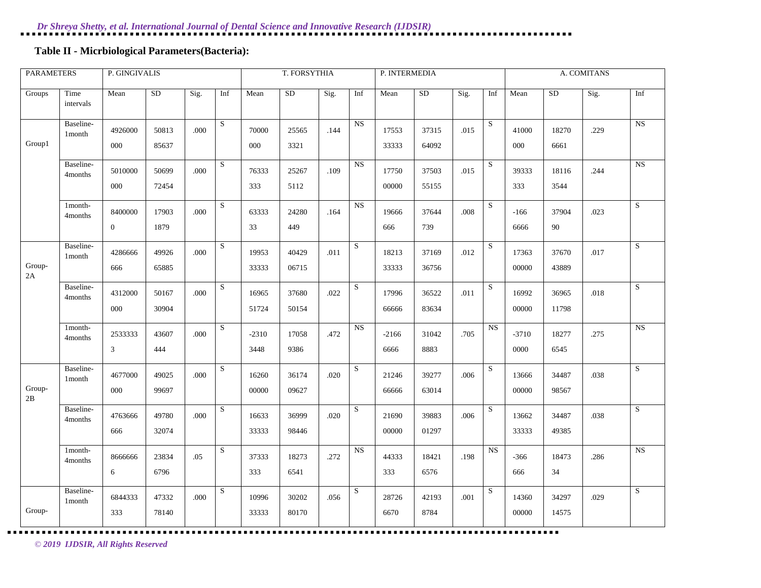# **Table II - Micrbiological Parameters(Bacteria):**

| <b>PARAMETERS</b> |                                 | P. GINGIVALIS  |       |      |           |         | T. FORSYTHIA |      |           | P. INTERMEDIA |           |          |           |         |           | A. COMITANS |                         |
|-------------------|---------------------------------|----------------|-------|------|-----------|---------|--------------|------|-----------|---------------|-----------|----------|-----------|---------|-----------|-------------|-------------------------|
| Groups            | Time<br>intervals               | Mean           | SD    | Sig. | Inf       | Mean    | <b>SD</b>    | Sig. | Inf       | Mean          | <b>SD</b> | Sig.     | Inf       | Mean    | <b>SD</b> | Sig.        | Inf                     |
|                   | Baseline-<br>1 <sub>month</sub> | 4926000        | 50813 | .000 | ${\bf S}$ | 70000   | 25565        | .144 | NS        | 17553         | 37315     | .015     | S         | 41000   | 18270     | .229        | NS                      |
| Group1            |                                 | 000            | 85637 |      |           | 000     | 3321         |      |           | 33333         | 64092     |          |           | 000     | 6661      |             |                         |
|                   | Baseline-<br>4months            | 5010000        | 50699 | .000 | ${\bf S}$ | 76333   | 25267        | .109 | <b>NS</b> | 17750         | 37503     | .015     | ${\bf S}$ | 39333   | 18116     | .244        | <b>NS</b>               |
|                   |                                 | 000            | 72454 |      |           | 333     | 5112         |      |           | 00000         | 55155     |          |           | 333     | 3544      |             |                         |
|                   | 1month-<br>4months              | 8400000        | 17903 | .000 | S         | 63333   | 24280        | .164 | <b>NS</b> | 19666         | 37644     | $.008\,$ | S         | $-166$  | 37904     | .023        | $\overline{\mathbf{s}}$ |
|                   |                                 | $\overline{0}$ | 1879  |      |           | 33      | 449          |      |           | 666           | 739       |          |           | 6666    | 90        |             |                         |
|                   | Baseline-<br>1 month            | 4286666        | 49926 | .000 | S         | 19953   | 40429        | .011 | S         | 18213         | 37169     | .012     | S         | 17363   | 37670     | .017        | $\overline{S}$          |
| Group-<br>2A      |                                 | 666            | 65885 |      |           | 33333   | 06715        |      |           | 33333         | 36756     |          |           | 00000   | 43889     |             |                         |
|                   | Baseline-<br>4months            | 4312000        | 50167 | .000 | S         | 16965   | 37680        | .022 | S         | 17996         | 36522     | .011     | S         | 16992   | 36965     | .018        | S                       |
|                   |                                 | 000            | 30904 |      |           | 51724   | 50154        |      |           | 66666         | 83634     |          |           | 00000   | 11798     |             |                         |
|                   | 1month-<br>4months              | 2533333        | 43607 | .000 | S         | $-2310$ | 17058        | .472 | NS        | $-2166$       | 31042     | .705     | <b>NS</b> | $-3710$ | 18277     | .275        | $\overline{\text{NS}}$  |
|                   |                                 | $\mathfrak{Z}$ | 444   |      |           | 3448    | 9386         |      |           | 6666          | 8883      |          |           | 0000    | 6545      |             |                         |
|                   | Baseline-<br>1 month            | 4677000        | 49025 | .000 | S         | 16260   | 36174        | .020 | S         | 21246         | 39277     | .006     | S         | 13666   | 34487     | .038        | $\overline{\mathbf{s}}$ |
| Group-<br>2B      |                                 | 000            | 99697 |      |           | 00000   | 09627        |      |           | 66666         | 63014     |          |           | 00000   | 98567     |             |                         |
|                   | Baseline-<br>4months            | 4763666        | 49780 | .000 | S         | 16633   | 36999        | .020 | S         | 21690         | 39883     | .006     | S         | 13662   | 34487     | .038        | S                       |
|                   |                                 | 666            | 32074 |      |           | 33333   | 98446        |      |           | 00000         | 01297     |          |           | 33333   | 49385     |             |                         |
|                   | 1month-<br>4months              | 8666666        | 23834 | .05  | S         | 37333   | 18273        | .272 | NS        | 44333         | 18421     | .198     | NS        | $-366$  | 18473     | .286        | $\overline{\text{NS}}$  |
|                   |                                 | 6              | 6796  |      |           | 333     | 6541         |      |           | 333           | 6576      |          |           | 666     | 34        |             |                         |
|                   | Baseline-<br>1month             | 6844333        | 47332 | .000 | S         | 10996   | 30202        | .056 | S         | 28726         | 42193     | .001     | S         | 14360   | 34297     | .029        | ${\bf S}$               |
| Group-            |                                 | 333            | 78140 |      |           | 33333   | 80170        |      |           | 6670          | 8784      |          |           | 00000   | 14575     |             |                         |

. . . . . . . . . . . . . . . . . . . .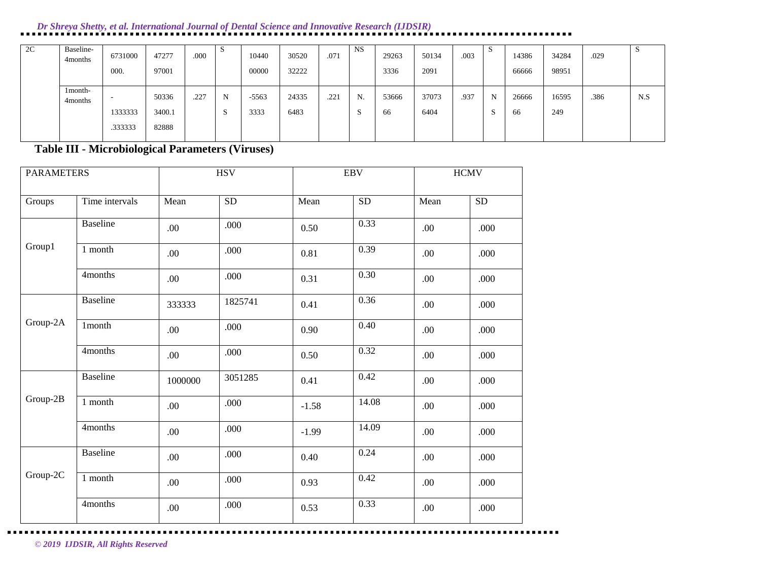| 2C | Baseline-<br>4 months | 6731000<br>000.         | 47277<br>97001           | .000 | S         | 10440<br>00000  | 30520<br>32222 | .071 | <b>NS</b>           | 29263<br>3336 | 50134<br>2091 | .003 | P        | 14386<br>66666 | 34284<br>98951 | .029 |     |
|----|-----------------------|-------------------------|--------------------------|------|-----------|-----------------|----------------|------|---------------------|---------------|---------------|------|----------|----------------|----------------|------|-----|
|    | 1month-<br>4 months   | -<br>1333333<br>.333333 | 50336<br>3400.1<br>82888 | .227 | N<br>- 20 | $-5563$<br>3333 | 24335<br>6483  | .221 | N.<br>$\sim$<br>- 2 | 53666<br>66   | 37073<br>6404 | .937 | N<br>- 2 | 26666<br>66    | 16595<br>249   | .386 | N.S |

**Table III - Microbiological Parameters (Viruses)**

| <b>PARAMETERS</b> |                 |         | <b>HSV</b> |         | <b>EBV</b> |      | $\rm HCMV$ |
|-------------------|-----------------|---------|------------|---------|------------|------|------------|
| Groups            | Time intervals  | Mean    | ${\rm SD}$ | Mean    | ${\rm SD}$ | Mean | <b>SD</b>  |
|                   | <b>Baseline</b> | .00     | .000       | 0.50    | 0.33       | .00  | .000       |
| Group1            | 1 month         | .00     | .000       | 0.81    | 0.39       | .00  | .000       |
|                   | 4months         | .00     | .000       | 0.31    | 0.30       | .00  | .000       |
|                   | Baseline        | 333333  | 1825741    | 0.41    | 0.36       | .00  | .000       |
| Group-2A          | 1month          | .00     | .000       | 0.90    | 0.40       | .00  | .000       |
|                   | 4months         | .00     | .000       | 0.50    | 0.32       | .00  | .000       |
|                   | <b>Baseline</b> | 1000000 | 3051285    | 0.41    | 0.42       | .00  | .000       |
| Group-2B          | 1 month         | .00     | .000       | $-1.58$ | 14.08      | .00  | .000       |
|                   | 4months         | .00     | .000       | $-1.99$ | 14.09      | .00  | .000       |
|                   | <b>Baseline</b> | .00     | .000       | 0.40    | 0.24       | .00  | .000       |
| Group-2C          | 1 month         | .00     | .000       | 0.93    | 0.42       | .00  | .000       |
|                   | 4months         | .00     | .000       | 0.53    | 0.33       | .00  | .000       |

*© 2019 IJDSIR, All Rights Reserved*

. . . .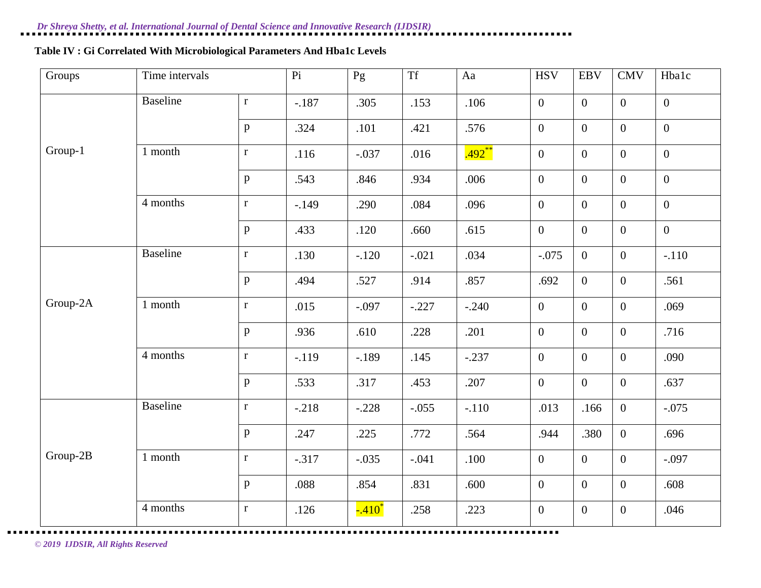# **Table IV : Gi Correlated With Microbiological Parameters And Hba1c Levels**

| Groups   | Time intervals  |              | $\overline{Pi}$ | $\overline{Pg}$ | <b>Tf</b> | Aa       | <b>HSV</b>     | <b>EBV</b>       | <b>CMV</b>       | Hbalc          |
|----------|-----------------|--------------|-----------------|-----------------|-----------|----------|----------------|------------------|------------------|----------------|
|          | <b>Baseline</b> | $\mathbf r$  | $-.187$         | .305            | .153      | .106     | $\mathbf{0}$   | $\mathbf{0}$     | $\overline{0}$   | $\mathbf{0}$   |
|          |                 | $\, {\bf p}$ | .324            | .101            | .421      | .576     | $\mathbf{0}$   | $\mathbf{0}$     | $\overline{0}$   | $\overline{0}$ |
| Group-1  | 1 month         | $\mathbf r$  | .116            | $-.037$         | .016      | $.492**$ | $\mathbf{0}$   | $\boldsymbol{0}$ | $\overline{0}$   | $\mathbf{0}$   |
|          |                 | p            | .543            | .846            | .934      | .006     | $\mathbf{0}$   | $\mathbf{0}$     | $\mathbf{0}$     | $\overline{0}$ |
|          | 4 months        | $\mathbf r$  | $-.149$         | .290            | .084      | .096     | $\mathbf{0}$   | $\overline{0}$   | $\overline{0}$   | $\mathbf{0}$   |
|          |                 | p            | .433            | .120            | .660      | .615     | $\mathbf{0}$   | $\boldsymbol{0}$ | $\mathbf{0}$     | $\mathbf{0}$   |
|          | <b>Baseline</b> | $\mathbf r$  | .130            | $-.120$         | $-.021$   | .034     | $-.075$        | $\overline{0}$   | $\boldsymbol{0}$ | $-.110$        |
|          |                 | p            | .494            | .527            | .914      | .857     | .692           | $\overline{0}$   | $\mathbf{0}$     | .561           |
| Group-2A | 1 month         | $\mathbf r$  | .015            | $-.097$         | $-.227$   | $-.240$  | $\mathbf{0}$   | $\mathbf{0}$     | $\mathbf{0}$     | .069           |
|          |                 | $\, {\bf p}$ | .936            | .610            | .228      | .201     | $\mathbf{0}$   | $\boldsymbol{0}$ | $\mathbf{0}$     | .716           |
|          | 4 months        | $\mathbf r$  | $-.119$         | $-.189$         | .145      | $-.237$  | $\overline{0}$ | $\overline{0}$   | $\overline{0}$   | .090           |
|          |                 | $\mathbf{p}$ | .533            | .317            | .453      | .207     | $\mathbf{0}$   | $\mathbf{0}$     | $\boldsymbol{0}$ | .637           |
|          | <b>Baseline</b> | $\mathbf r$  | $-.218$         | $-.228$         | $-.055$   | $-.110$  | .013           | .166             | $\mathbf{0}$     | $-.075$        |
|          |                 | p            | .247            | .225            | .772      | .564     | .944           | .380             | $\boldsymbol{0}$ | .696           |
| Group-2B | 1 month         | $\mathbf r$  | $-.317$         | $-.035$         | $-.041$   | .100     | $\mathbf{0}$   | $\boldsymbol{0}$ | $\boldsymbol{0}$ | $-.097$        |
|          |                 | $\mathbf{p}$ | .088            | .854            | .831      | .600     | $\mathbf{0}$   | $\boldsymbol{0}$ | $\boldsymbol{0}$ | .608           |
|          | 4 months        | $\mathbf r$  | .126            | $-.410^*$       | .258      | .223     | $\mathbf{0}$   | $\boldsymbol{0}$ | $\overline{0}$   | .046           |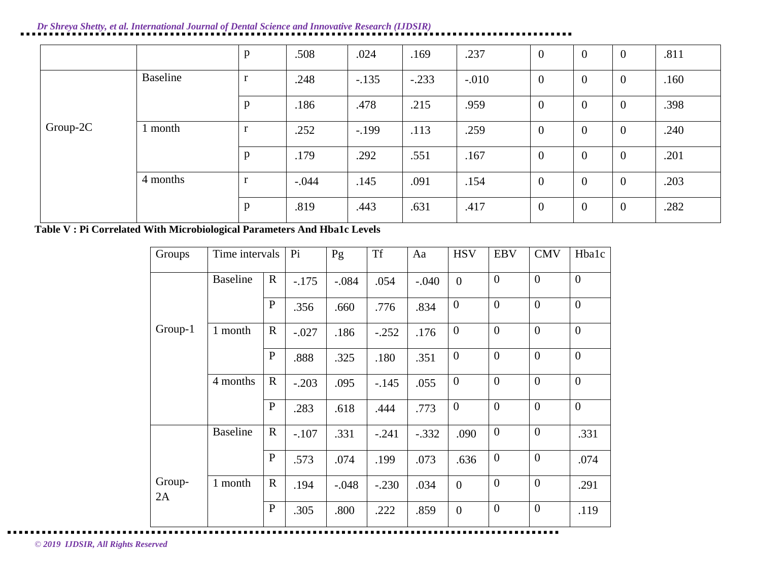|          |          | $\, {\bf p}$ | .508    | .024    | .169    | .237    | $\overline{0}$ | $\overline{0}$ | $\overline{0}$ | .811 |
|----------|----------|--------------|---------|---------|---------|---------|----------------|----------------|----------------|------|
|          | Baseline | r            | .248    | $-.135$ | $-.233$ | $-.010$ | $\overline{0}$ | $\overline{0}$ | $\overline{0}$ | .160 |
|          |          | p            | .186    | .478    | .215    | .959    | $\overline{0}$ | $\overline{0}$ | $\overline{0}$ | .398 |
| Group-2C | l month  | r            | .252    | $-.199$ | .113    | .259    | $\overline{0}$ | $\overline{0}$ | $\overline{0}$ | .240 |
|          |          | $\, {\bf p}$ | .179    | .292    | .551    | .167    | $\theta$       | $\overline{0}$ | $\overline{0}$ | .201 |
|          | 4 months | $\mathbf{r}$ | $-.044$ | .145    | .091    | .154    | $\overline{0}$ | $\overline{0}$ | $\overline{0}$ | .203 |
|          |          | $\mathbf{p}$ | .819    | .443    | .631    | .417    | $\overline{0}$ | $\overline{0}$ | $\overline{0}$ | .282 |

**Table V : Pi Correlated With Microbiological Parameters And Hba1c Levels**

| Groups       | Time intervals  |              | Pi      | Pg      | <b>Tf</b> | Aa      | <b>HSV</b>       | <b>EBV</b>       | <b>CMV</b>       | Hbalc          |
|--------------|-----------------|--------------|---------|---------|-----------|---------|------------------|------------------|------------------|----------------|
|              | <b>Baseline</b> | $\mathbf R$  | $-.175$ | $-.084$ | .054      | $-.040$ | $\overline{0}$   | $\boldsymbol{0}$ | $\overline{0}$   | $\overline{0}$ |
|              |                 | $\mathbf{P}$ | .356    | .660    | .776      | .834    | $\boldsymbol{0}$ | $\boldsymbol{0}$ | $\overline{0}$   | $\overline{0}$ |
| Group-1      | 1 month         | $\mathbf R$  | $-.027$ | .186    | $-.252$   | .176    | $\overline{0}$   | $\overline{0}$   | $\overline{0}$   | $\overline{0}$ |
|              |                 | $\mathbf{P}$ | .888    | .325    | .180      | .351    | $\overline{0}$   | $\overline{0}$   | $\overline{0}$   | $\overline{0}$ |
|              | 4 months        | $\mathbf R$  | $-.203$ | .095    | $-.145$   | .055    | $\boldsymbol{0}$ | $\boldsymbol{0}$ | $\overline{0}$   | $\overline{0}$ |
|              |                 | $\mathbf{P}$ | .283    | .618    | .444      | .773    | $\overline{0}$   | $\overline{0}$   | $\overline{0}$   | $\overline{0}$ |
|              | <b>Baseline</b> | $\mathbf R$  | $-.107$ | .331    | $-.241$   | $-.332$ | .090             | $\boldsymbol{0}$ | $\overline{0}$   | .331           |
|              |                 | $\mathbf{P}$ | .573    | .074    | .199      | .073    | .636             | $\boldsymbol{0}$ | $\boldsymbol{0}$ | .074           |
| Group-<br>2A | 1 month         | $\mathbf R$  | .194    | $-.048$ | $-.230$   | .034    | $\overline{0}$   | $\boldsymbol{0}$ | $\overline{0}$   | .291           |
|              |                 | $\mathbf{P}$ | .305    | .800    | .222      | .859    | $\boldsymbol{0}$ | $\boldsymbol{0}$ | $\overline{0}$   | .119           |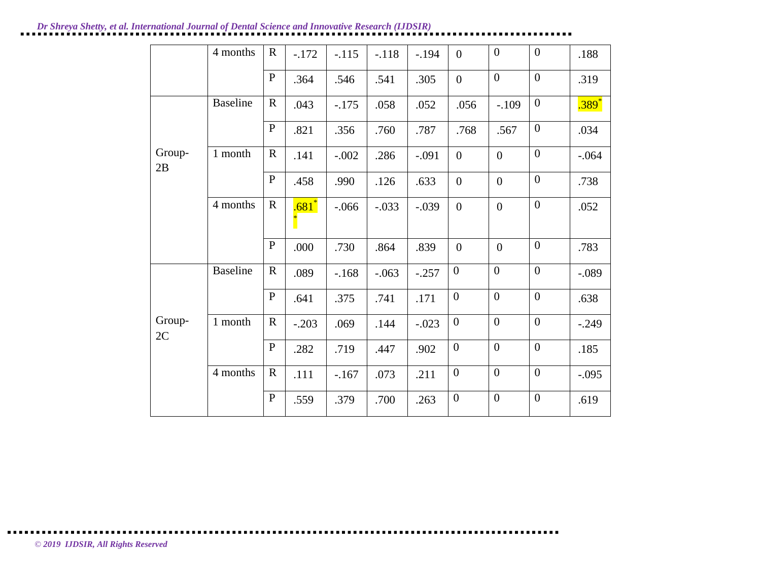|              | 4 months        | $\mathbf R$  | $-.172$ | $-.115$ | $-.118$ | $-.194$ | $\overline{0}$   | $\overline{0}$   | $\boldsymbol{0}$ | .188     |
|--------------|-----------------|--------------|---------|---------|---------|---------|------------------|------------------|------------------|----------|
|              |                 | ${\bf P}$    | .364    | .546    | .541    | .305    | $\boldsymbol{0}$ | $\overline{0}$   | $\overline{0}$   | .319     |
|              | <b>Baseline</b> | $\mathbf R$  | .043    | $-.175$ | .058    | .052    | .056             | $-.109$          | $\boldsymbol{0}$ | $.389*$  |
|              |                 | $\mathbf{P}$ | .821    | .356    | .760    | .787    | .768             | .567             | $\overline{0}$   | .034     |
| Group-<br>2B | 1 month         | $\mathbf R$  | .141    | $-.002$ | .286    | $-.091$ | $\boldsymbol{0}$ | $\boldsymbol{0}$ | $\overline{0}$   | $-0.064$ |
|              |                 | $\mathbf{P}$ | .458    | .990    | .126    | .633    | $\boldsymbol{0}$ | $\boldsymbol{0}$ | $\boldsymbol{0}$ | .738     |
|              | 4 months        | $\mathbf R$  | .681    | $-.066$ | $-.033$ | $-.039$ | $\overline{0}$   | $\overline{0}$   | $\boldsymbol{0}$ | .052     |
|              |                 | $\mathbf{P}$ | .000    | .730    | .864    | .839    | $\overline{0}$   | $\overline{0}$   | $\overline{0}$   | .783     |
|              | <b>Baseline</b> | $\mathbf R$  | .089    | $-.168$ | $-.063$ | $-.257$ | $\boldsymbol{0}$ | $\boldsymbol{0}$ | $\overline{0}$   | $-.089$  |
|              |                 | $\mathbf{P}$ | .641    | .375    | .741    | .171    | $\overline{0}$   | $\overline{0}$   | $\overline{0}$   | .638     |
| Group-<br>2C | 1 month         | $\mathbf R$  | $-.203$ | .069    | .144    | $-.023$ | $\overline{0}$   | $\mathbf{0}$     | $\boldsymbol{0}$ | $-.249$  |
|              |                 | $\mathbf{P}$ | .282    | .719    | .447    | .902    | $\mathbf{0}$     | $\mathbf{0}$     | $\mathbf{0}$     | .185     |
|              | 4 months        | $\mathbf R$  | .111    | $-.167$ | .073    | .211    | $\overline{0}$   | $\overline{0}$   | $\overline{0}$   | $-.095$  |
|              |                 | ${\bf P}$    | .559    | .379    | .700    | .263    | $\boldsymbol{0}$ | $\boldsymbol{0}$ | $\boldsymbol{0}$ | .619     |

*© 2019 IJDSIR, All Rights Reserved*

 $\blacksquare$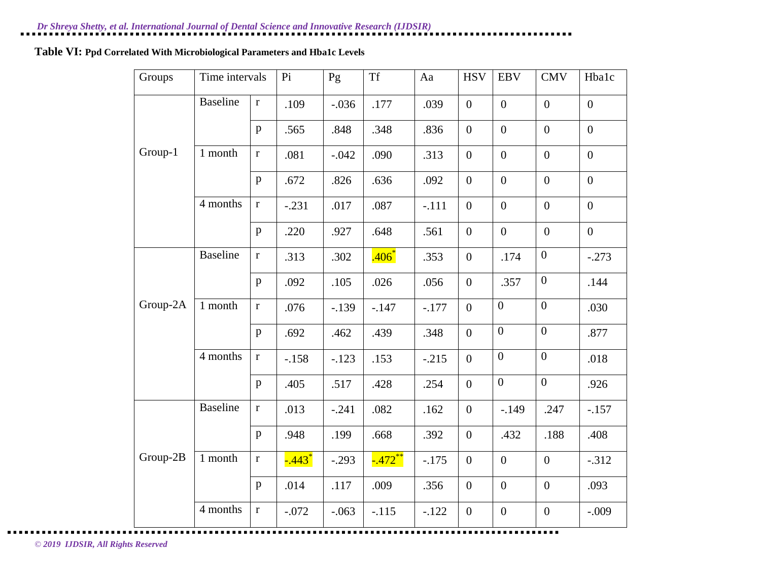# **Table VI: Ppd Correlated With Microbiological Parameters and Hba1c Levels**

| Groups   | Time intervals  |              | Pi                   | Pg      | <b>Tf</b>  | Aa      | <b>HSV</b>       | <b>EBV</b>       | <b>CMV</b>       | Hbalc            |
|----------|-----------------|--------------|----------------------|---------|------------|---------|------------------|------------------|------------------|------------------|
|          | <b>Baseline</b> | $\mathbf r$  | .109                 | $-.036$ | .177       | .039    | $\overline{0}$   | $\boldsymbol{0}$ | $\overline{0}$   | $\boldsymbol{0}$ |
|          |                 | p            | .565                 | .848    | .348       | .836    | $\overline{0}$   | $\overline{0}$   | $\overline{0}$   | $\overline{0}$   |
| Group-1  | 1 month         | $\mathbf{r}$ | .081                 | $-.042$ | .090       | .313    | $\overline{0}$   | $\overline{0}$   | $\overline{0}$   | $\overline{0}$   |
|          |                 | p            | .672                 | .826    | .636       | .092    | $\overline{0}$   | $\boldsymbol{0}$ | $\boldsymbol{0}$ | $\overline{0}$   |
|          | 4 months        | $\mathbf r$  | $-.231$              | .017    | .087       | $-.111$ | $\overline{0}$   | $\overline{0}$   | $\overline{0}$   | $\overline{0}$   |
|          |                 | p            | .220                 | .927    | .648       | .561    | $\boldsymbol{0}$ | $\boldsymbol{0}$ | $\boldsymbol{0}$ | $\overline{0}$   |
|          | <b>Baseline</b> | $\mathbf r$  | .313                 | .302    | $.406*$    | .353    | $\mathbf{0}$     | .174             | $\boldsymbol{0}$ | $-.273$          |
|          |                 | p            | .092                 | .105    | .026       | .056    | $\boldsymbol{0}$ | .357             | $\boldsymbol{0}$ | .144             |
| Group-2A | 1 month         | $\mathbf r$  | .076                 | $-.139$ | $-.147$    | $-.177$ | $\overline{0}$   | $\boldsymbol{0}$ | $\boldsymbol{0}$ | .030             |
|          |                 | $\mathbf{p}$ | .692                 | .462    | .439       | .348    | $\mathbf{0}$     | $\overline{0}$   | $\overline{0}$   | .877             |
|          | 4 months        | $\mathbf r$  | $-.158$              | $-.123$ | .153       | $-.215$ | $\overline{0}$   | $\boldsymbol{0}$ | $\boldsymbol{0}$ | .018             |
|          |                 | p            | .405                 | .517    | .428       | .254    | $\overline{0}$   | $\overline{0}$   | $\boldsymbol{0}$ | .926             |
|          | <b>Baseline</b> | $\mathbf r$  | .013                 | $-.241$ | .082       | .162    | $\overline{0}$   | $-.149$          | .247             | $-.157$          |
|          |                 | p            | .948                 | .199    | .668       | .392    | $\boldsymbol{0}$ | .432             | .188             | .408             |
| Group-2B | 1 month         | $\mathbf{r}$ | $-.443$ <sup>*</sup> | $-.293$ | $-0.472**$ | $-.175$ | $\overline{0}$   | $\overline{0}$   | $\overline{0}$   | $-.312$          |
|          |                 | p            | .014                 | .117    | .009       | .356    | $\overline{0}$   | $\overline{0}$   | $\overline{0}$   | .093             |
|          | 4 months        | $\mathbf r$  | $-.072$              | $-.063$ | $-.115$    | $-.122$ | $\overline{0}$   | $\boldsymbol{0}$ | $\overline{0}$   | $-.009$          |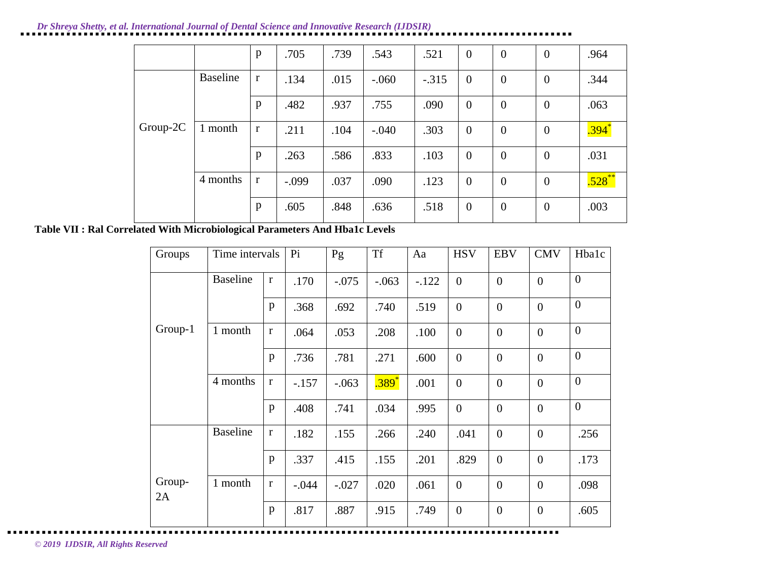|            |                 | p            | .705    | .739 | .543    | .521    | $\mathbf{0}$   | $\overline{0}$ | $\overline{0}$   | .964       |
|------------|-----------------|--------------|---------|------|---------|---------|----------------|----------------|------------------|------------|
|            | <b>Baseline</b> | $\mathbf r$  | .134    | .015 | $-.060$ | $-.315$ | $\overline{0}$ | $\overline{0}$ | $\boldsymbol{0}$ | .344       |
|            |                 | p            | .482    | .937 | .755    | .090    | $\overline{0}$ | $\overline{0}$ | $\overline{0}$   | .063       |
| $Group-2C$ | month<br>1      | $\mathbf{r}$ | .211    | .104 | $-.040$ | .303    | $\mathbf{0}$   | $\overline{0}$ | $\overline{0}$   | $.394^{*}$ |
|            |                 | $\mathbf{p}$ | .263    | .586 | .833    | .103    | $\overline{0}$ | $\overline{0}$ | $\overline{0}$   | .031       |
|            | 4 months        | $\mathbf{r}$ | $-.099$ | .037 | .090    | .123    | $\overline{0}$ | $\overline{0}$ | $\theta$         | $.528***$  |
|            |                 | p            | .605    | .848 | .636    | .518    | $\mathbf{0}$   | $\overline{0}$ | $\boldsymbol{0}$ | .003       |

**Table VII : Ral Correlated With Microbiological Parameters And Hba1c Levels**

| Groups       | Time intervals  |              | Pi      | Pg      | <b>Tf</b> | Aa      | <b>HSV</b>       | <b>EBV</b>     | <b>CMV</b>       | Hbalc          |
|--------------|-----------------|--------------|---------|---------|-----------|---------|------------------|----------------|------------------|----------------|
|              | <b>Baseline</b> | $\bf r$      | .170    | $-.075$ | $-.063$   | $-.122$ | $\boldsymbol{0}$ | $\overline{0}$ | $\overline{0}$   | $\overline{0}$ |
|              |                 | $\mathbf{p}$ | .368    | .692    | .740      | .519    | $\overline{0}$   | $\overline{0}$ | $\overline{0}$   | $\overline{0}$ |
| Group-1      | 1 month         | $\mathbf r$  | .064    | .053    | .208      | .100    | $\boldsymbol{0}$ | $\overline{0}$ | $\overline{0}$   | $\overline{0}$ |
|              |                 | $\mathbf{p}$ | .736    | .781    | .271      | .600    | $\boldsymbol{0}$ | $\overline{0}$ | $\overline{0}$   | $\overline{0}$ |
|              | 4 months        | $\mathbf r$  | $-.157$ | $-.063$ | .389      | .001    | $\mathbf{0}$     | $\overline{0}$ | $\overline{0}$   | $\overline{0}$ |
|              |                 | $\mathbf{p}$ | .408    | .741    | .034      | .995    | $\overline{0}$   | $\overline{0}$ | $\overline{0}$   | $\overline{0}$ |
|              | <b>Baseline</b> | $\bf r$      | .182    | .155    | .266      | .240    | .041             | $\overline{0}$ | $\overline{0}$   | .256           |
|              |                 | $\mathbf{p}$ | .337    | .415    | .155      | .201    | .829             | $\overline{0}$ | $\overline{0}$   | .173           |
| Group-<br>2A | 1 month         | $\bf r$      | $-.044$ | $-.027$ | .020      | .061    | $\mathbf{0}$     | $\overline{0}$ | $\overline{0}$   | .098           |
|              |                 | $\mathbf{p}$ | .817    | .887    | .915      | .749    | $\mathbf{0}$     | $\overline{0}$ | $\boldsymbol{0}$ | .605           |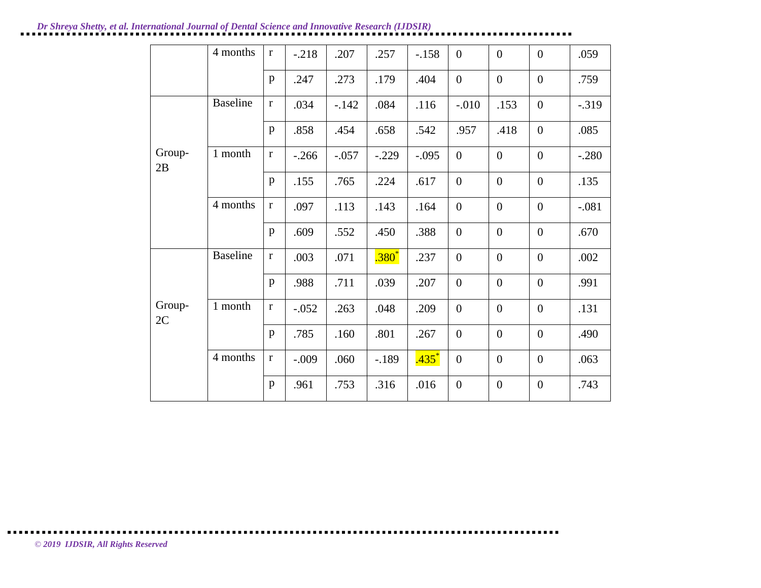|              | 4 months        | $\mathbf{r}$ | $-.218$ | .207    | .257     | $-.158$             | $\overline{0}$   | $\overline{0}$   | $\overline{0}$   | .059     |
|--------------|-----------------|--------------|---------|---------|----------|---------------------|------------------|------------------|------------------|----------|
|              |                 | p            | .247    | .273    | .179     | .404                | $\overline{0}$   | $\mathbf{0}$     | $\overline{0}$   | .759     |
|              | <b>Baseline</b> | $\mathbf r$  | .034    | $-.142$ | .084     | .116                | $-.010$          | .153             | $\overline{0}$   | $-0.319$ |
|              |                 | $\mathbf{p}$ | .858    | .454    | .658     | .542                | .957             | .418             | $\overline{0}$   | .085     |
| Group-<br>2B | 1 month         | $\mathbf r$  | $-.266$ | $-.057$ | $-.229$  | $-.095$             | $\boldsymbol{0}$ | $\boldsymbol{0}$ | $\boldsymbol{0}$ | $-.280$  |
|              |                 | p            | .155    | .765    | .224     | .617                | $\overline{0}$   | $\mathbf{0}$     | $\overline{0}$   | .135     |
|              | 4 months        | $\mathbf r$  | .097    | .113    | .143     | .164                | $\overline{0}$   | $\mathbf{0}$     | $\overline{0}$   | $-.081$  |
|              |                 | $\mathbf{p}$ | .609    | .552    | .450     | .388                | $\boldsymbol{0}$ | $\boldsymbol{0}$ | $\overline{0}$   | .670     |
|              | <b>Baseline</b> | $\mathbf r$  | .003    | .071    | $.380^*$ | .237                | $\boldsymbol{0}$ | $\mathbf{0}$     | $\overline{0}$   | .002     |
|              |                 | p            | .988    | .711    | .039     | .207                | $\overline{0}$   | $\overline{0}$   | $\overline{0}$   | .991     |
| Group-<br>2C | 1 month         | $\mathbf r$  | $-.052$ | .263    | .048     | .209                | $\overline{0}$   | $\overline{0}$   | $\overline{0}$   | .131     |
|              |                 | p            | .785    | .160    | .801     | .267                | $\mathbf{0}$     | $\boldsymbol{0}$ | $\overline{0}$   | .490     |
|              | 4 months        | $\mathbf r$  | $-.009$ | .060    | $-.189$  | $.435$ <sup>*</sup> | $\overline{0}$   | $\boldsymbol{0}$ | $\boldsymbol{0}$ | .063     |
|              |                 | p            | .961    | .753    | .316     | .016                | $\boldsymbol{0}$ | $\boldsymbol{0}$ | $\boldsymbol{0}$ | .743     |

 $\blacksquare$